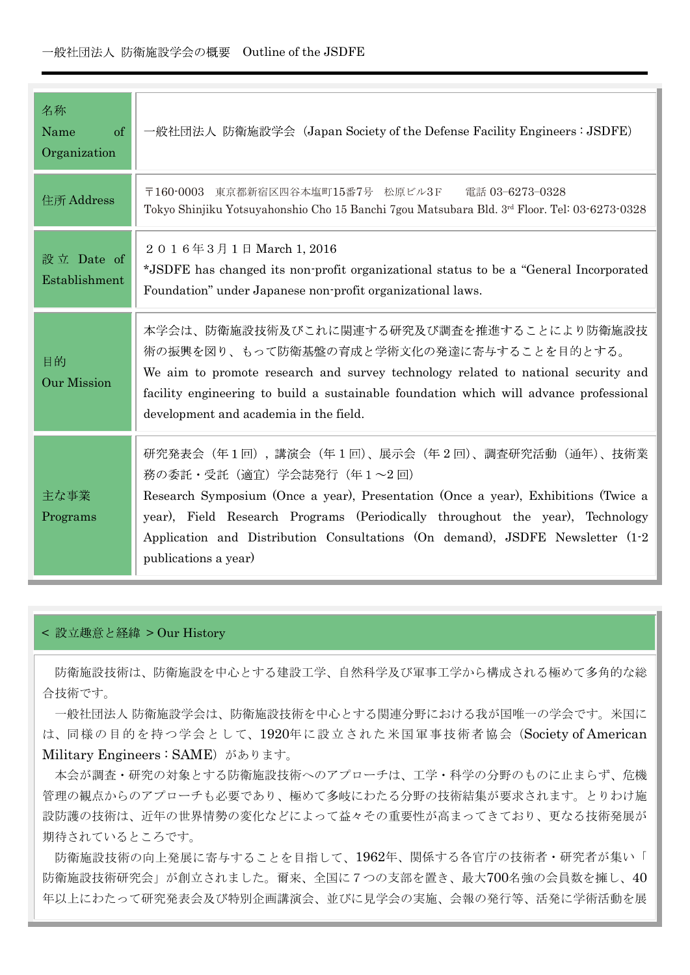| 名称<br>Name<br>of<br>Organization | 一般社団法人 防衛施設学会 (Japan Society of the Defense Facility Engineers : JSDFE)                                                                                                                                                                                                                                                                                    |
|----------------------------------|------------------------------------------------------------------------------------------------------------------------------------------------------------------------------------------------------------------------------------------------------------------------------------------------------------------------------------------------------------|
| 住所 Address                       | 東京都新宿区四谷本塩町15番7号 松原ビル3F<br>電話 03-6273-0328<br>$\overline{7}160-0003$<br>Tokyo Shinjiku Yotsuyahonshio Cho 15 Banchi 7gou Matsubara Bld. 3rd Floor. Tel: 03-6273-0328                                                                                                                                                                                       |
| 設立 Date of<br>Establishment      | 2016年3月1日 March 1, 2016<br>*JSDFE has changed its non-profit organizational status to be a "General Incorporated"<br>Foundation" under Japanese non-profit organizational laws.                                                                                                                                                                            |
| 目的<br><b>Our Mission</b>         | 本学会は、防衛施設技術及びこれに関連する研究及び調査を推進することにより防衛施設技<br>術の振興を図り、もって防衛基盤の育成と学術文化の発達に寄与することを目的とする。<br>We aim to promote research and survey technology related to national security and<br>facility engineering to build a sustainable foundation which will advance professional<br>development and academia in the field.                                             |
| 主な事業<br>Programs                 | 研究発表会(年1回),講演会(年1回)、展示会(年2回)、調査研究活動(通年)、技術業<br>務の委託・受託 (適宜) 学会誌発行 (年1~2回)<br>Research Symposium (Once a year), Presentation (Once a year), Exhibitions (Twice a<br>year), Field Research Programs (Periodically throughout the year), Technology<br>Application and Distribution Consultations (On demand), JSDFE Newsletter (1-2)<br>publications a year) |

## < 設立趣意と経緯 > Our History

防衛施設は中心とする建設工学、自然科学及び軍事工学から構成される極めて多角的な総 合技術です。

一般社団法人防衛施設学会は、防衛施設技術を中心とする関連分野における我が国唯一の学会です。米国に は、同様の目的を持つ学会として、1920年に設立された米国軍事技術者協会 (Society of American Military Engineers : SAME) があります。

本会が調査・研究の対象とする防衛施設技術へのアプローチは、工学・科学の分野のものに止まらず、危機 管理の観点からのアプローチも必要であり、極めて多岐にわたる分野の技術結集が要求されます。とりわけ施 設防護の技術は、近年の世界情勢の変化などによって益々その重要性が高まってきており、更なる技術発展が 期待されているところです。

防衛施設技術の向上発展に寄与することを目指して、1962年、関係する各官庁の技術者·研究者が集い「 防衛施設技術研究会」が創立されました。爾来、全国に7つの支部を置き、最大700名強の会員数を擁し、40 年以上にわたって研究発表会及び特別企画講演会、並びに見学会の実施、会報の発行等、活発に学術活動を展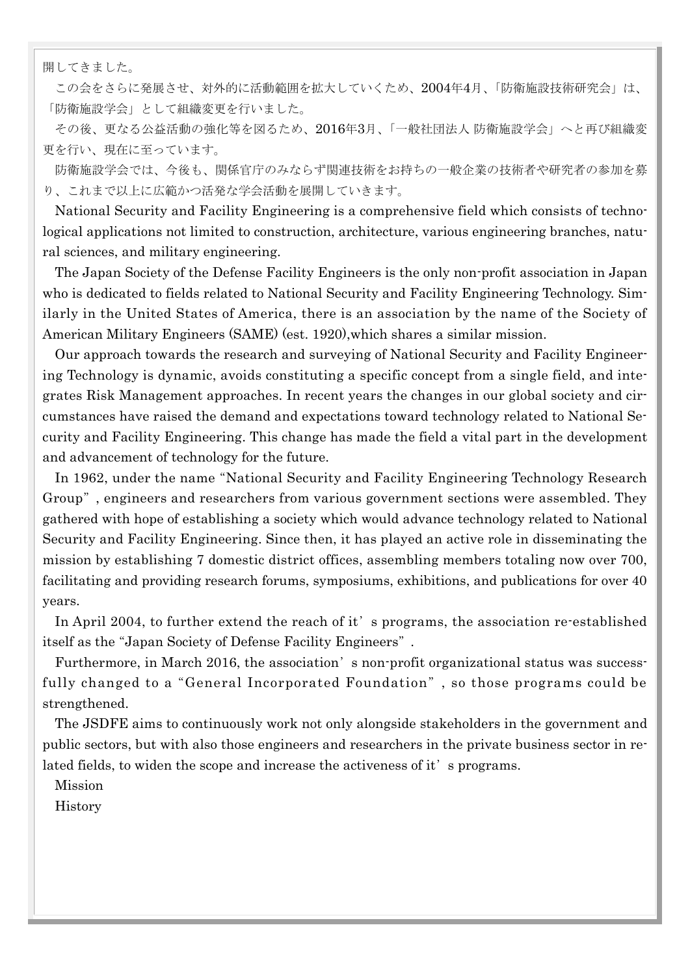開してきました。

この会をさらに発展させ、対外的に活動範囲を拡大していくため、2004年4月、「防衛施設技術研究会」は、 「防衛施設学会」として組織変更を行いました。

その後、更なる公益活動の強化等を図るため、2016年3月、「一般社団法人防衛施設学会」へと再び組織変 更を行い、現在に至っています。

防衛施設学会では、今後も、関係官庁のみならず関連技術をお持ちの一般企業の技術者や研究者の参加を募 り、これまで以上に広範かつ活発な学会活動を展開していきます。

National Security and Facility Engineering is a comprehensive field which consists of technological applications not limited to construction, architecture, various engineering branches, natural sciences, and military engineering.

The Japan Society of the Defense Facility Engineers is the only non-profit association in Japan who is dedicated to fields related to National Security and Facility Engineering Technology. Similarly in the United States of America, there is an association by the name of the Society of American Military Engineers (SAME) (est. 1920),which shares a similar mission.

Our approach towards the research and surveying of National Security and Facility Engineering Technology is dynamic, avoids constituting a specific concept from a single field, and integrates Risk Management approaches. In recent years the changes in our global society and circumstances have raised the demand and expectations toward technology related to National Security and Facility Engineering. This change has made the field a vital part in the development and advancement of technology for the future.

In 1962, under the name "National Security and Facility Engineering Technology Research Group", engineers and researchers from various government sections were assembled. They gathered with hope of establishing a society which would advance technology related to National Security and Facility Engineering. Since then, it has played an active role in disseminating the mission by establishing 7 domestic district offices, assembling members totaling now over 700, facilitating and providing research forums, symposiums, exhibitions, and publications for over 40 years.

In April 2004, to further extend the reach of it's programs, the association re-established itself as the "Japan Society of Defense Facility Engineers".

Furthermore, in March 2016, the association's non-profit organizational status was successfully changed to a "General Incorporated Foundation", so those programs could be strengthened.

The JSDFE aims to continuously work not only alongside stakeholders in the government and public sectors, but with also those engineers and researchers in the private business sector in related fields, to widen the scope and increase the activeness of it's programs.

Mission

History